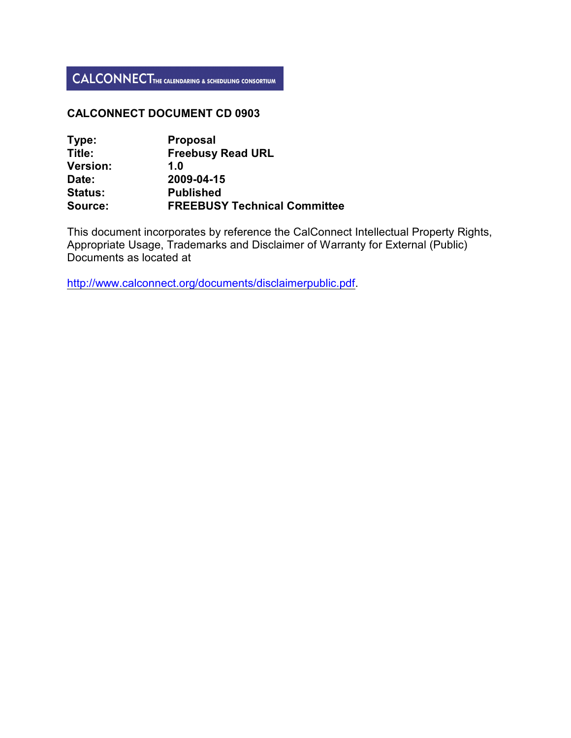### **CALCONNECT DOCUMENT CD 0903**

| Type:           | <b>Proposal</b>                     |
|-----------------|-------------------------------------|
| Title:          | <b>Freebusy Read URL</b>            |
| <b>Version:</b> | 1.0                                 |
| Date:           | 2009-04-15                          |
| <b>Status:</b>  | <b>Published</b>                    |
| Source:         | <b>FREEBUSY Technical Committee</b> |

This document incorporates by reference the CalConnect Intellectual Property Rights, Appropriate Usage, Trademarks and Disclaimer of Warranty for External (Public) Documents as located at

<http://www.calconnect.org/documents/disclaimerpublic.pdf>.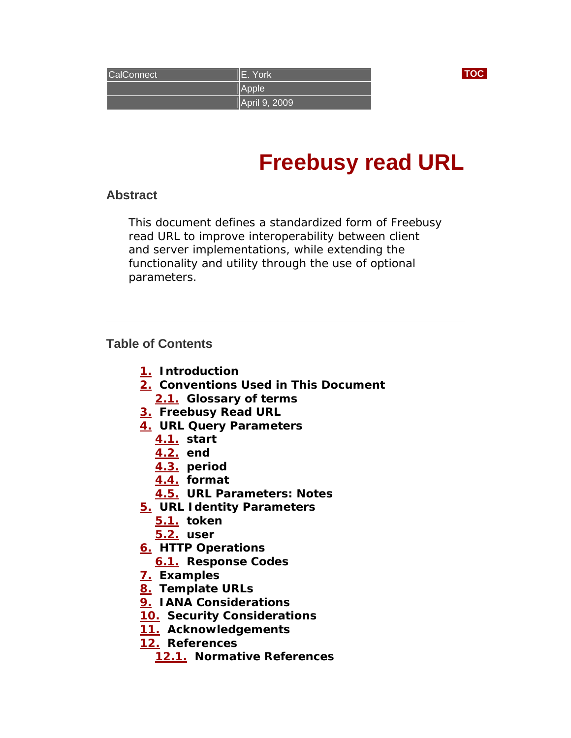<span id="page-1-0"></span>

| <b>CalConnect</b> | E. York       |  |
|-------------------|---------------|--|
|                   | Apple         |  |
|                   | April 9, 2009 |  |

# **Freebusy read URL**

# **Abstract**

This document defines a standardized form of Freebusy read URL to improve interoperability between client and server implementations, while extending the functionality and utility through the use of optional parameters.

# **Table of Contents**

- **[1.](#page-2-0) Introduction**
- **[2.](#page-3-0) Conventions Used in This Document** 
	- **[2.1.](#page-1-0) Glossary of terms**
- **[3.](#page-4-0) Freebusy Read URL**
- **[4.](#page-5-0) URL Query Parameters** 
	- **[4.1.](#page-5-0) start** 
		- **[4.2.](#page-6-0) end**
	- **[4.3.](#page-6-0) period**
	- **[4.4.](#page-7-0) format**
	- **[4.5.](#page-7-0) URL Parameters: Notes**
- **[5.](#page-8-0) URL Identity Parameters** 
	- **[5.1.](#page-8-0) token**
	- **[5.2.](#page-8-0) user**
- **[6.](#page-9-0) HTTP Operations** 
	- **[6.1.](#page-9-0) Response Codes**
- **[7.](#page-10-0) Examples**
- **[8.](#page-13-0) Template URLs**
- **[9.](#page-14-0) IANA Considerations**
- **[10.](#page-14-0) Security Considerations**
- **[11.](#page-15-0) Acknowledgements**
- **[12.](#page-15-0) References** 
	- **[12.1.](#page-15-0) Normative References**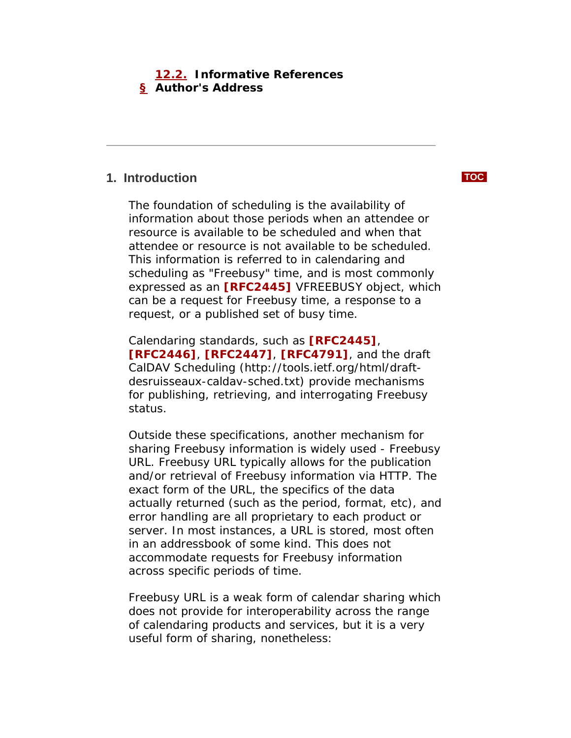# <span id="page-2-0"></span> **[12.2.](#page-16-0) Informative References [§](#page-16-0) Author's Address**

# **1. Introduction [TOC](#page-1-0)**

The foundation of scheduling is the availability of information about those periods when an attendee or resource is available to be scheduled and when that attendee or resource is not available to be scheduled. This information is referred to in calendaring and scheduling as "Freebusy" time, and is most commonly expressed as an **[\[RFC2445\]](#page-16-0)** VFREEBUSY object, which can be a request for Freebusy time, a response to a request, or a published set of busy time.

Calendaring standards, such as **[\[RFC2445\]](#page-16-0)**, **[\[RFC2446\]](#page-16-0)**, **[\[RFC2447\]](#page-16-0)**, **[\[RFC4791\]](#page-16-0)**, and the draft CalDAV Scheduling (http://tools.ietf.org/html/draftdesruisseaux-caldav-sched.txt) provide mechanisms for publishing, retrieving, and interrogating Freebusy status.

Outside these specifications, another mechanism for sharing Freebusy information is widely used - Freebusy URL. Freebusy URL typically allows for the publication and/or retrieval of Freebusy information via HTTP. The exact form of the URL, the specifics of the data actually returned (such as the period, format, etc), and error handling are all proprietary to each product or server. In most instances, a URL is stored, most often in an addressbook of some kind. This does not accommodate requests for Freebusy information across specific periods of time.

Freebusy URL is a weak form of calendar sharing which does not provide for interoperability across the range of calendaring products and services, but it is a very useful form of sharing, nonetheless: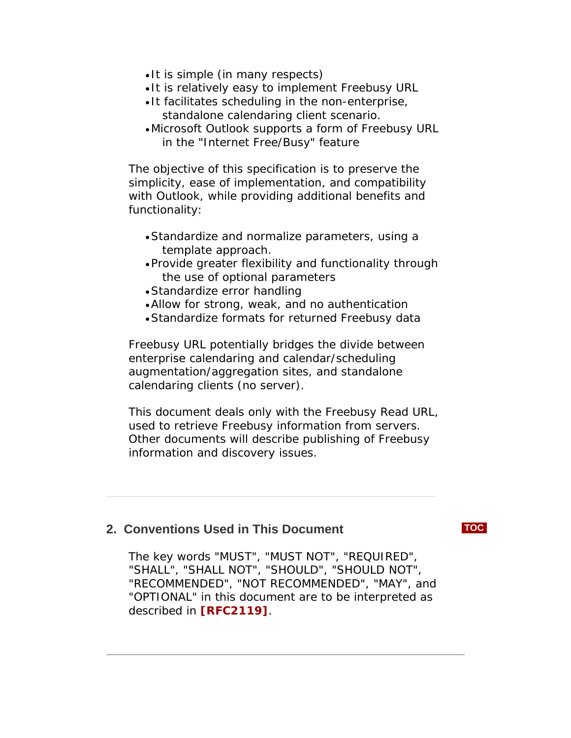- <span id="page-3-0"></span>• It is simple (in many respects)
- It is relatively easy to implement Freebusy URL
- It facilitates scheduling in the non-enterprise, standalone calendaring client scenario.
- •Microsoft Outlook supports a form of Freebusy URL in the "Internet Free/Busy" feature

The objective of this specification is to preserve the simplicity, ease of implementation, and compatibility with Outlook, while providing additional benefits and functionality:

- •Standardize and normalize parameters, using a template approach.
- •Provide greater flexibility and functionality through the use of optional parameters
- •Standardize error handling
- •Allow for strong, weak, and no authentication
- •Standardize formats for returned Freebusy data

Freebusy URL potentially bridges the divide between enterprise calendaring and calendar/scheduling augmentation/aggregation sites, and standalone calendaring clients (no server).

This document deals only with the Freebusy Read URL, used to retrieve Freebusy information from servers. Other documents will describe publishing of Freebusy information and discovery issues.

# **2. Conventions Used in This Document [TOC](#page-1-0)**

The key words "MUST", "MUST NOT", "REQUIRED", "SHALL", "SHALL NOT", "SHOULD", "SHOULD NOT", "RECOMMENDED", "NOT RECOMMENDED", "MAY", and "OPTIONAL" in this document are to be interpreted as described in **[\[RFC2119\]](#page-16-0)**.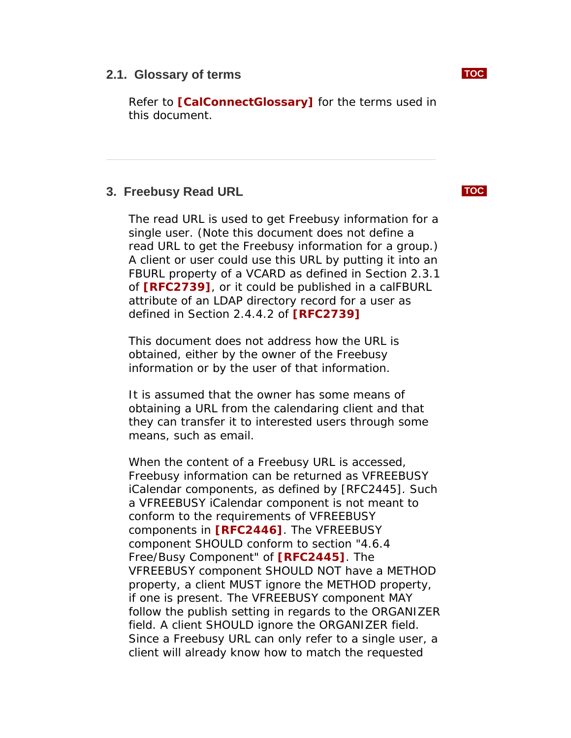<span id="page-4-0"></span>Refer to **[\[CalConnectGlossary\]](#page-16-0)** for the terms used in this document.

# **3. Freebusy Read URL [TOC](#page-1-0)**

The read URL is used to get Freebusy information for a single user. (Note this document does not define a read URL to get the Freebusy information for a group.) A client or user could use this URL by putting it into an FBURL property of a VCARD as defined in Section 2.3.1 of **[\[RFC2739\]](#page-16-0)**, or it could be published in a calFBURL attribute of an LDAP directory record for a user as defined in Section 2.4.4.2 of **[\[RFC2739\]](#page-16-0)**

This document does not address how the URL is obtained, either by the owner of the Freebusy information or by the user of that information.

It is assumed that the owner has some means of obtaining a URL from the calendaring client and that they can transfer it to interested users through some means, such as email.

When the content of a Freebusy URL is accessed, Freebusy information can be returned as VFREEBUSY iCalendar components, as defined by [RFC2445]. Such a VFREEBUSY iCalendar component is not meant to conform to the requirements of VFREEBUSY components in **[\[RFC2446\]](#page-16-0)**. The VFREEBUSY component SHOULD conform to section "4.6.4 Free/Busy Component" of **[\[RFC2445\]](#page-16-0)**. The VFREEBUSY component SHOULD NOT have a METHOD property, a client MUST ignore the METHOD property, if one is present. The VFREEBUSY component MAY follow the publish setting in regards to the ORGANIZER field. A client SHOULD ignore the ORGANIZER field. Since a Freebusy URL can only refer to a single user, a client will already know how to match the requested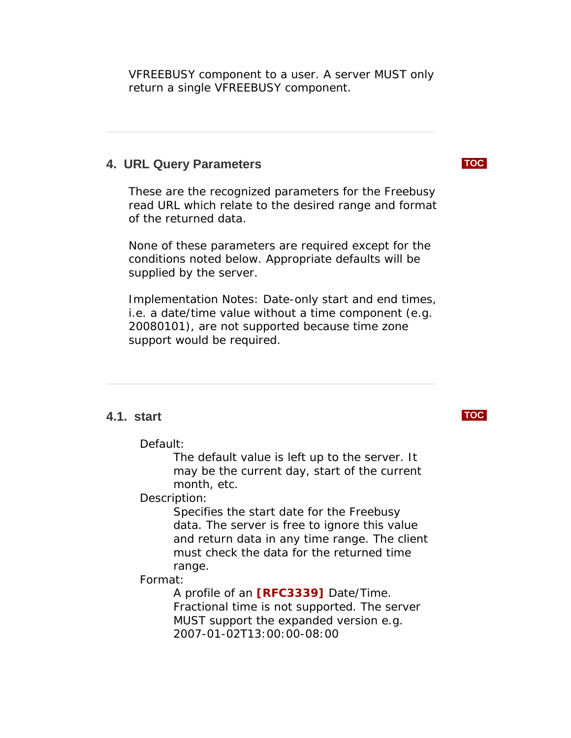<span id="page-5-0"></span>VFREEBUSY component to a user. A server MUST only return a single VFREEBUSY component.

### **4. URL Query Parameters [TOC](#page-1-0)**

These are the recognized parameters for the Freebusy read URL which relate to the desired range and format of the returned data.

None of these parameters are required except for the conditions noted below. Appropriate defaults will be supplied by the server.

Implementation Notes: Date-only start and end times, i.e. a date/time value without a time component (e.g. 20080101), are not supported because time zone support would be required.

### **4.1. start [TOC](#page-1-0)**

Default:

The default value is left up to the server. It may be the current day, start of the current month, etc.

### Description:

Specifies the start date for the Freebusy data. The server is free to ignore this value and return data in any time range. The client must check the data for the returned time range.

### Format:

A profile of an **[\[RFC3339\]](#page-16-0)** Date/Time. Fractional time is not supported. The server MUST support the expanded version e.g. 2007-01-02T13:00:00-08:00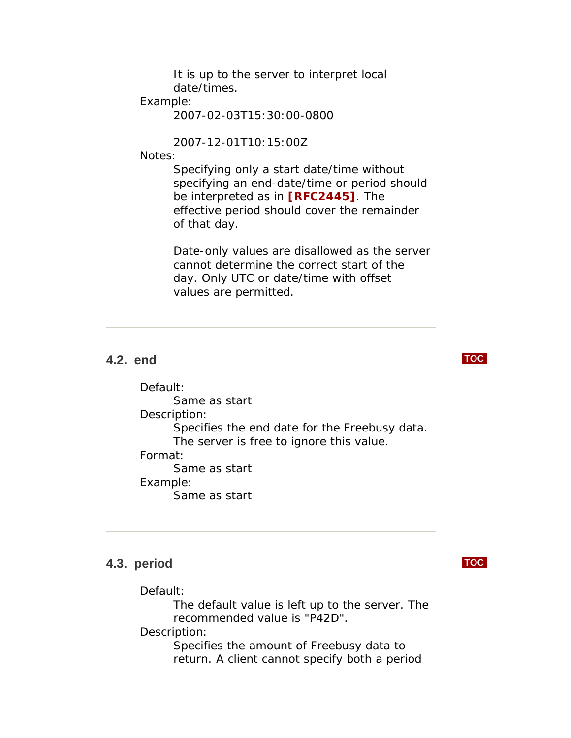It is up to the server to interpret local date/times.

### <span id="page-6-0"></span>Example:

2007-02-03T15:30:00-0800

2007-12-01T10:15:00Z

Notes:

Specifying only a start date/time without specifying an end-date/time or period should be interpreted as in **[\[RFC2445\]](#page-16-0)**. The effective period should cover the remainder of that day.

Date-only values are disallowed as the server cannot determine the correct start of the day. Only UTC or date/time with offset values are permitted.

# **4.2. end [TOC](#page-1-0)**

Default: Same as start Description: Specifies the end date for the Freebusy data. The server is free to ignore this value. Format: Same as start Example: Same as start

### **4.3. period [TOC](#page-1-0)**

Default:

The default value is left up to the server. The recommended value is "P42D".

Description:

Specifies the amount of Freebusy data to return. A client cannot specify both a period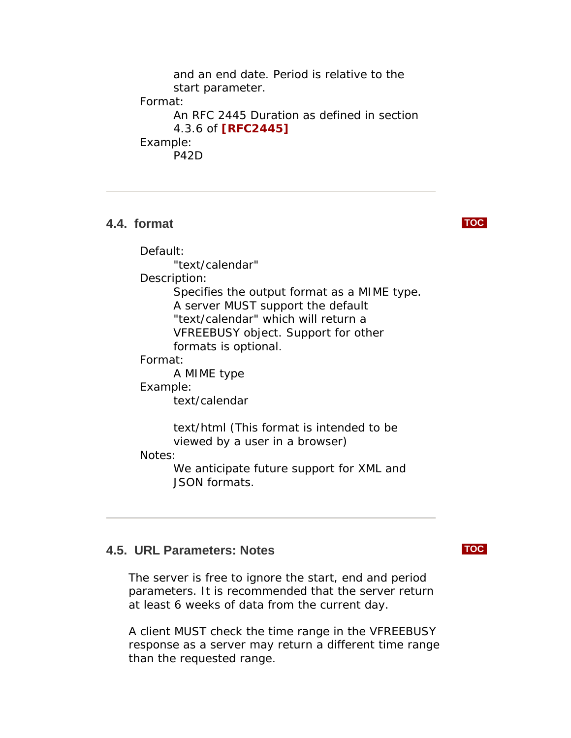<span id="page-7-0"></span>and an end date. Period is relative to the start parameter. Format: An RFC 2445 Duration as defined in section 4.3.6 of **[\[RFC2445\]](#page-16-0)** Example: P42D

### **4.4. format [TOC](#page-1-0)**

Default:

"text/calendar"

Description:

Specifies the output format as a MIME type. A server MUST support the default "text/calendar" which will return a VFREEBUSY object. Support for other formats is optional.

### Format:

A MIME type

### Example:

text/calendar

text/html (This format is intended to be viewed by a user in a browser)

Notes:

We anticipate future support for XML and JSON formats.

# **4.5. URL Parameters: Notes [TOC](#page-1-0)**

The server is free to ignore the start, end and period parameters. It is recommended that the server return at least 6 weeks of data from the current day.

A client MUST check the time range in the VFREEBUSY response as a server may return a different time range than the requested range.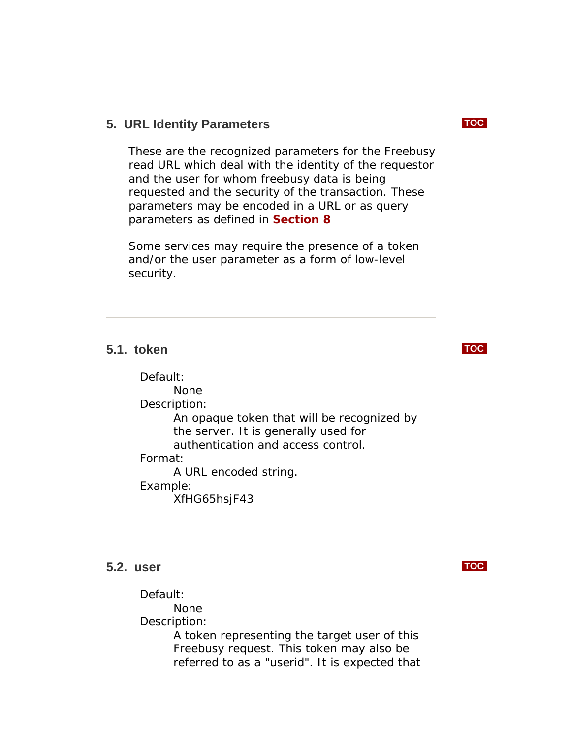# <span id="page-8-0"></span>**5. URL Identity Parameters [TOC](#page-1-0)**

These are the recognized parameters for the Freebusy read URL which deal with the identity of the requestor and the user for whom freebusy data is being requested and the security of the transaction. These parameters may be encoded in a URL or as query parameters as defined in **[Section 8](#page-13-0)**

Some services may require the presence of a token and/or the user parameter as a form of low-level security.

# **5.1. token [TOC](#page-1-0)**

Default: None Description: An opaque token that will be recognized by the server. It is generally used for authentication and access control. Format: A URL encoded string. Example: XfHG65hsjF43

### **5.2. user [TOC](#page-1-0)**

Default: None Description:

A token representing the target user of this Freebusy request. This token may also be referred to as a "userid". It is expected that

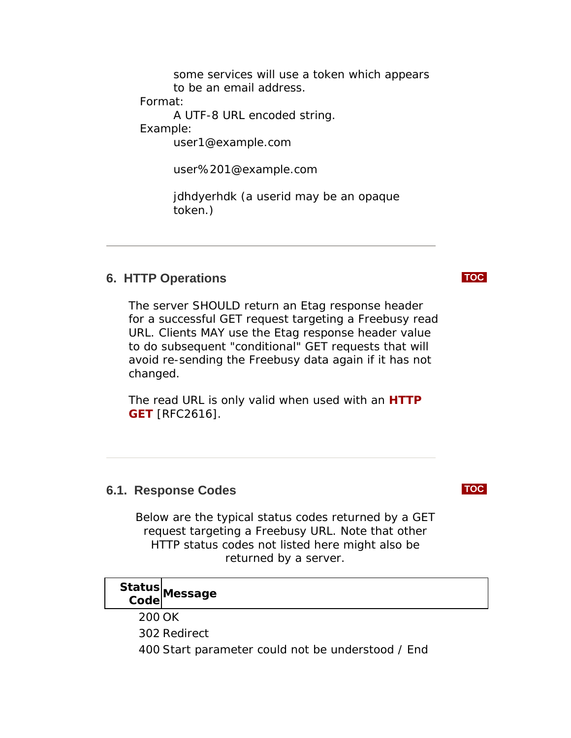some services will use a token which appears to be an email address.

<span id="page-9-0"></span>Format:

A UTF-8 URL encoded string.

Example:

user1@example.com

user%201@example.com

jdhdyerhdk (a userid may be an opaque token.)

# **6. HTTP Operations [TOC](#page-1-0)**

The server SHOULD return an Etag response header for a successful GET request targeting a Freebusy read URL. Clients MAY use the Etag response header value to do subsequent "conditional" GET requests that will avoid re-sending the Freebusy data again if it has not changed.

The read URL is only valid when used with an **[HTTP](#page-16-0)  [GET](#page-16-0)** [RFC2616].

# **6.1. Response Codes [TOC](#page-1-0)**

Below are the typical status codes returned by a GET request targeting a Freebusy URL. Note that other HTTP status codes not listed here might also be returned by a server.

# **Status Code Message**

200 OK

302 Redirect

400 Start parameter could not be understood / End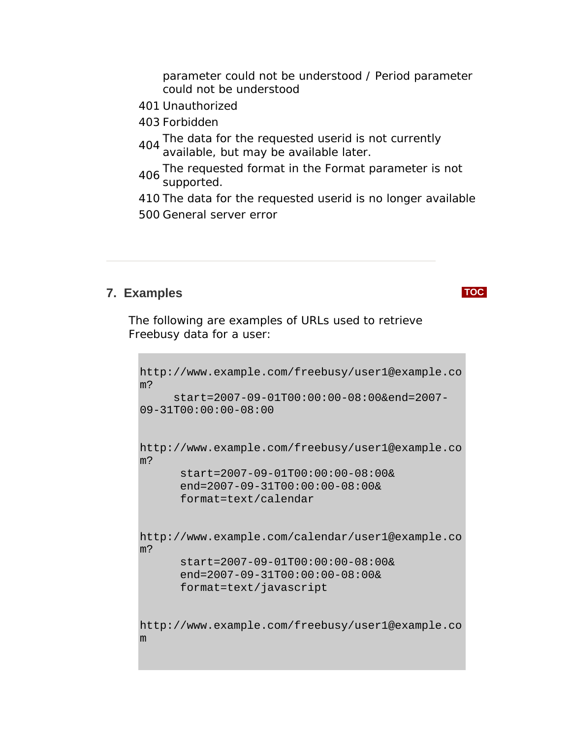parameter could not be understood / Period parameter could not be understood

- <span id="page-10-0"></span>401 Unauthorized
- 403 Forbidden
- 404 The data for the requested userid is not currently available, but may be available later.
- 406 The requested format in the Format parameter is not supported.
- 410 The data for the requested userid is no longer available 500 General server error

# **7. Examples [TOC](#page-1-0)**

The following are examples of URLs used to retrieve Freebusy data for a user:

```
http://www.example.com/freebusy/user1@example.co
m? 
      start=2007-09-01T00:00:00-08:00&end=2007-
09-31T00:00:00-08:00 
http://www.example.com/freebusy/user1@example.co
m? 
       start=2007-09-01T00:00:00-08:00& 
       end=2007-09-31T00:00:00-08:00& 
       format=text/calendar 
http://www.example.com/calendar/user1@example.co
m? 
       start=2007-09-01T00:00:00-08:00& 
       end=2007-09-31T00:00:00-08:00& 
       format=text/javascript 
http://www.example.com/freebusy/user1@example.co
m
```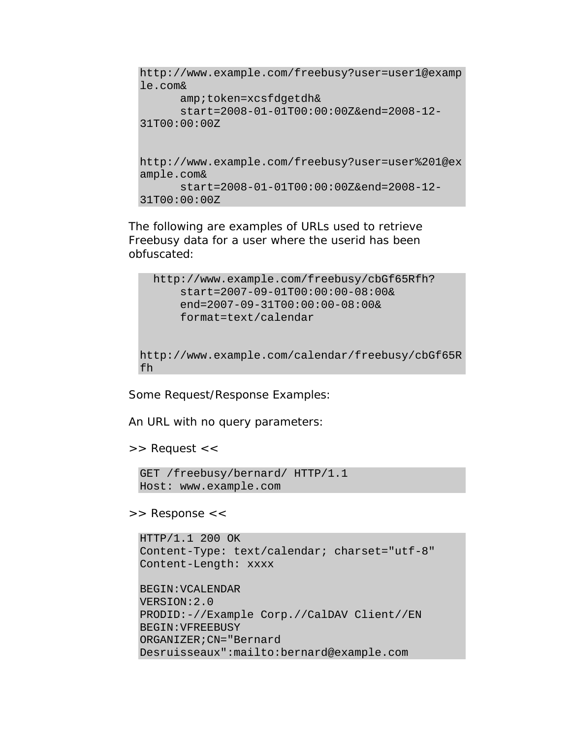```
http://www.example.com/freebusy?user=user1@examp
le.com& 
       amp;token=xcsfdgetdh& 
       start=2008-01-01T00:00:00Z&end=2008-12-
31T00:00:00Z 
http://www.example.com/freebusy?user=user%201@ex
ample.com& 
       start=2008-01-01T00:00:00Z&end=2008-12-
31T00:00:00Z
```
The following are examples of URLs used to retrieve Freebusy data for a user where the userid has been obfuscated:

```
 http://www.example.com/freebusy/cbGf65Rfh? 
       start=2007-09-01T00:00:00-08:00& 
       end=2007-09-31T00:00:00-08:00& 
       format=text/calendar 
http://www.example.com/calendar/freebusy/cbGf65R
fh
```
Some Request/Response Examples:

An URL with no query parameters:

>> Request <<

```
GET /freebusy/bernard/ HTTP/1.1 
Host: www.example.com
```
>> Response <<

```
HTTP/1.1 200 OK 
Content-Type: text/calendar; charset="utf-8" 
Content-Length: xxxx 
BEGIN:VCALENDAR 
VERSION:2.0 
PRODID:-//Example Corp.//CalDAV Client//EN 
BEGIN:VFREEBUSY 
ORGANIZER;CN="Bernard 
Desruisseaux":mailto:bernard@example.com
```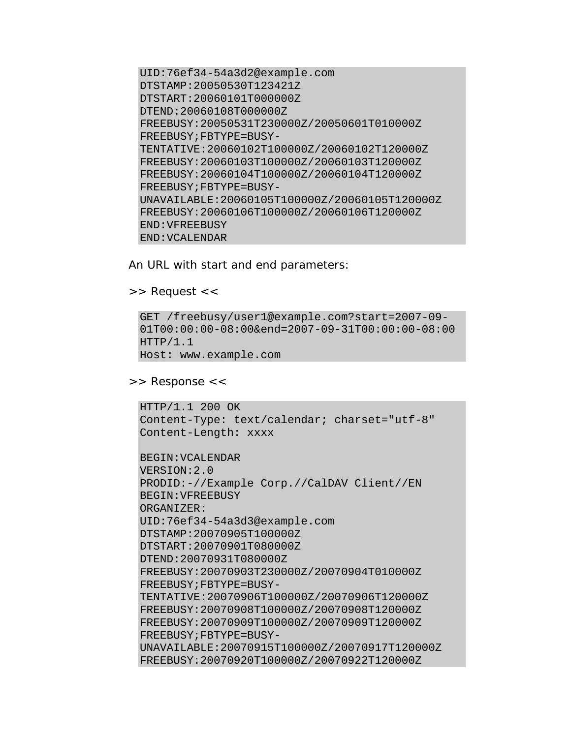UID:76ef34-54a3d2@example.com DTSTAMP:20050530T123421Z DTSTART:20060101T000000Z DTEND:20060108T000000Z FREEBUSY:20050531T230000Z/20050601T010000Z FREEBUSY;FBTYPE=BUSY-TENTATIVE:20060102T100000Z/20060102T120000Z FREEBUSY:20060103T100000Z/20060103T120000Z FREEBUSY:20060104T100000Z/20060104T120000Z FREEBUSY;FBTYPE=BUSY-UNAVAILABLE:20060105T100000Z/20060105T120000Z FREEBUSY:20060106T100000Z/20060106T120000Z END:VFREEBUSY END:VCALENDAR

An URL with start and end parameters:

```
>> Request <<
```

```
GET /freebusy/user1@example.com?start=2007-09-
01T00:00:00-08:00&end=2007-09-31T00:00:00-08:00 
HTTP/1.1 
Host: www.example.com
```
>> Response <<

```
HTTP/1.1 200 OK 
Content-Type: text/calendar; charset="utf-8" 
Content-Length: xxxx 
BEGIN:VCALENDAR 
VERSION:2.0 
PRODID:-//Example Corp.//CalDAV Client//EN 
BEGIN:VFREEBUSY 
ORGANIZER: 
UID:76ef34-54a3d3@example.com 
DTSTAMP:20070905T100000Z 
DTSTART:20070901T080000Z 
DTEND:20070931T080000Z 
FREEBUSY:20070903T230000Z/20070904T010000Z 
FREEBUSY;FBTYPE=BUSY-
TENTATIVE:20070906T100000Z/20070906T120000Z 
FREEBUSY:20070908T100000Z/20070908T120000Z 
FREEBUSY:20070909T100000Z/20070909T120000Z 
FREEBUSY;FBTYPE=BUSY-
UNAVAILABLE:20070915T100000Z/20070917T120000Z 
FREEBUSY:20070920T100000Z/20070922T120000Z
```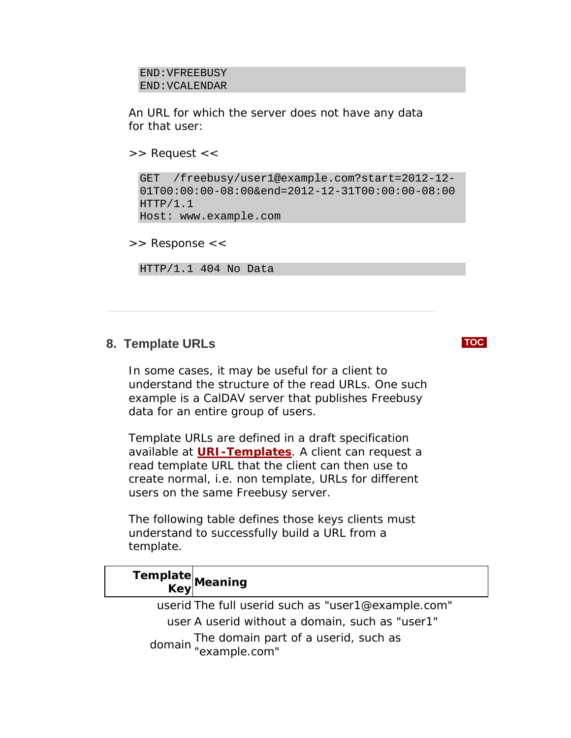```
END:VFREEBUSY 
END:VCALENDAR
```
An URL for which the server does not have any data for that user:

```
>> Request <<
```

```
GET /freebusy/user1@example.com?start=2012-12-
01T00:00:00-08:00&end=2012-12-31T00:00:00-08:00 
HTTP/1.1Host: www.example.com
```
>> Response <<

HTTP/1.1 404 No Data

# **8. Template URLs [TOC](#page-1-0)**

In some cases, it may be useful for a client to understand the structure of the read URLs. One such example is a CalDAV server that publishes Freebusy data for an entire group of users.

Template URLs are defined in a draft specification available at **[URI-Templates](http://bitworking.org/projects/URI-Templates/draft-gregorio-uritemplate-00.html)**. A client can request a read template URL that the client can then use to create normal, i.e. non template, URLs for different users on the same Freebusy server.

The following table defines those keys clients must understand to successfully build a URL from a template.

| Template<br>KeyMeaning |                                                                  |
|------------------------|------------------------------------------------------------------|
|                        | userid The full userid such as "user1@example.com"               |
|                        | user A userid without a domain, such as "user1"                  |
|                        | domain The domain part of a userid, such as domain "example.com" |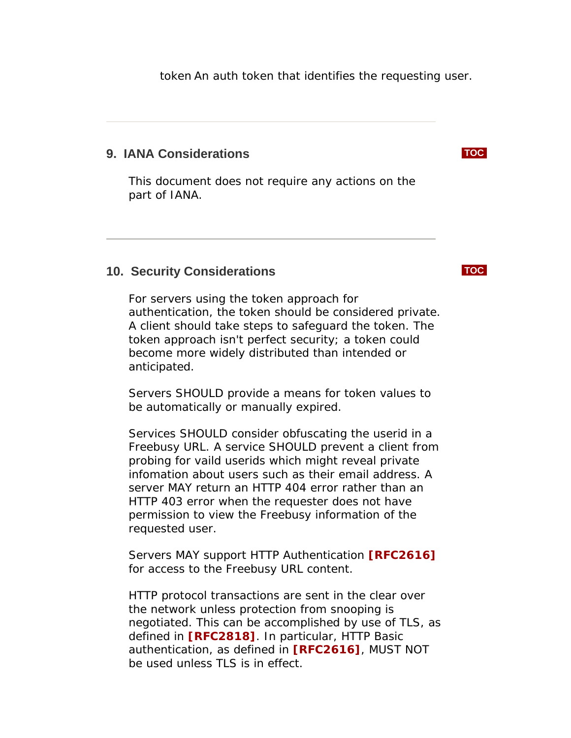<span id="page-14-0"></span>token An auth token that identifies the requesting user.

# **9. IANA Considerations [TOC](#page-1-0)**

This document does not require any actions on the part of IANA.

### **10. Security Considerations [TOC](#page-1-0)**

For servers using the token approach for authentication, the token should be considered private. A client should take steps to safeguard the token. The token approach isn't perfect security; a token could become more widely distributed than intended or anticipated.

Servers SHOULD provide a means for token values to be automatically or manually expired.

Services SHOULD consider obfuscating the userid in a Freebusy URL. A service SHOULD prevent a client from probing for vaild userids which might reveal private infomation about users such as their email address. A server MAY return an HTTP 404 error rather than an HTTP 403 error when the requester does not have permission to view the Freebusy information of the requested user.

Servers MAY support HTTP Authentication **[\[RFC2616\]](#page-16-0)** for access to the Freebusy URL content.

HTTP protocol transactions are sent in the clear over the network unless protection from snooping is negotiated. This can be accomplished by use of TLS, as defined in **[\[RFC2818\]](#page-16-0)**. In particular, HTTP Basic authentication, as defined in **[\[RFC2616\]](#page-16-0)**, MUST NOT be used unless TLS is in effect.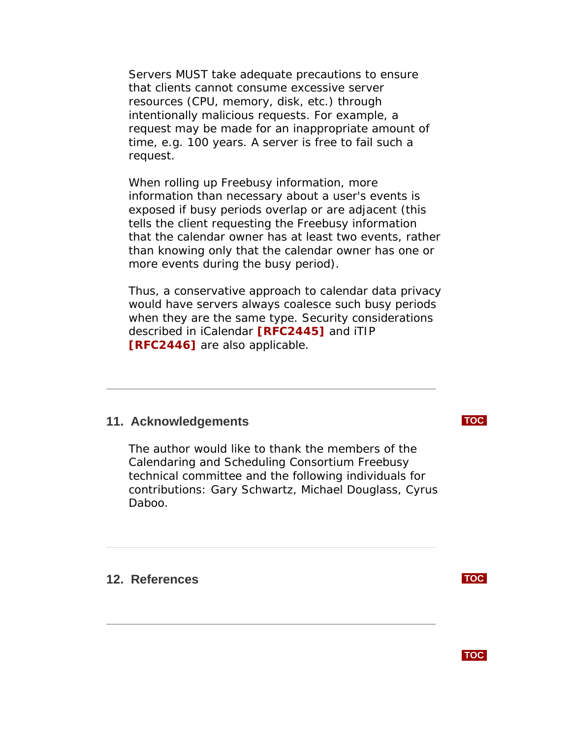<span id="page-15-0"></span>Servers MUST take adequate precautions to ensure that clients cannot consume excessive server resources (CPU, memory, disk, etc.) through intentionally malicious requests. For example, a request may be made for an inappropriate amount of time, e.g. 100 years. A server is free to fail such a request.

When rolling up Freebusy information, more information than necessary about a user's events is exposed if busy periods overlap or are adjacent (this tells the client requesting the Freebusy information that the calendar owner has at least two events, rather than knowing only that the calendar owner has one or more events during the busy period).

Thus, a conservative approach to calendar data privacy would have servers always coalesce such busy periods when they are the same type. Security considerations described in iCalendar **[\[RFC2445\]](#page-16-0)** and iTIP **[\[RFC2446\]](#page-16-0)** are also applicable.

# **11. Acknowledgements [TOC](#page-1-0)**

The author would like to thank the members of the Calendaring and Scheduling Consortium Freebusy technical committee and the following individuals for contributions: Gary Schwartz, Michael Douglass, Cyrus Daboo.

**12. References [TOC](#page-1-0)**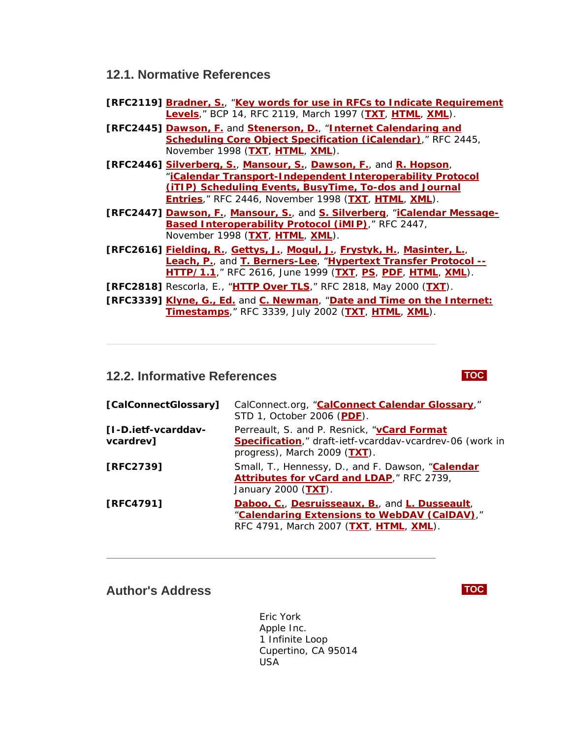### <span id="page-16-0"></span>**12.1. Normative References**

- **[RFC2119] [Bradner, S.](mailto:sob@harvard.edu)**, "**[Key words for use in RFCs to](http://tools.ietf.org/html/rfc2119) Indicate Requirement [Levels](http://tools.ietf.org/html/rfc2119)**," BCP 14, RFC 2119, March 1997 (**[TXT](ftp://ftp.isi.edu/in-notes/rfc2119.txt)**, **[HTML](http://xml.resource.org/public/rfc/html/rfc2119.html)**, **[XML](http://xml.resource.org/public/rfc/xml/rfc2119.xml)**).
- **[RFC2445] [Dawson, F.](mailto:Frank_Dawson@Lotus.com)** and **[Stenerson, D.](mailto:deriks@Microsoft.com)**, "**[Internet Calendaring and](http://tools.ietf.org/html/rfc2445)  [Scheduling Core Object Specification \(iCalendar\)](http://tools.ietf.org/html/rfc2445)**," RFC 2445, November 1998 (**[TXT](ftp://ftp.isi.edu/in-notes/rfc2445.txt)**, **[HTML](http://xml.resource.org/public/rfc/html/rfc2445.html)**, **[XML](http://xml.resource.org/public/rfc/xml/rfc2445.xml)**).
- **[RFC2446] [Silverberg, S.](mailto:stevesil@Microsoft.com)**, **[Mansour, S.](mailto:sman@netscape.com)**, **[Dawson, F.](mailto:Frank_Dawson@Lotus.com)**, and **[R. Hopson](mailto:rhopson@on.com)**, "**[iCalendar Transport-Independent Interoperability Protocol](http://tools.ietf.org/html/rfc2446)  [\(iTIP\) Scheduling Events, BusyTime, To-dos and Journal](http://tools.ietf.org/html/rfc2446)  [Entries](http://tools.ietf.org/html/rfc2446)**," RFC 2446, November 1998 (**[TXT](ftp://ftp.isi.edu/in-notes/rfc2446.txt)**, **[HTML](http://xml.resource.org/public/rfc/html/rfc2446.html)**, **[XML](http://xml.resource.org/public/rfc/xml/rfc2446.xml)**).
- **[RFC2447] [Dawson, F.](mailto:fdawson@earthlink.net)**, **[Mansour, S.](mailto:sman@netscape.com)**, and **[S. Silverberg](mailto:stevesil@Microsoft.com)**, "**[iCalendar Message-](http://tools.ietf.org/html/rfc2447)[Based Interoperability Protocol \(iMIP\)](http://tools.ietf.org/html/rfc2447)**," RFC 2447, November 1998 (**[TXT](ftp://ftp.isi.edu/in-notes/rfc2447.txt)**, **[HTML](http://xml.resource.org/public/rfc/html/rfc2447.html)**, **[XML](http://xml.resource.org/public/rfc/xml/rfc2447.xml)**).
- **[RFC2616] [Fielding, R.](mailto:fielding@ics.uci.edu)**, **[Gettys, J.](mailto:jg@w3.org)**, **[Mogul, J.](mailto:mogul@wrl.dec.com)**, **[Frystyk, H.](mailto:frystyk@w3.org)**, **[Masinter, L.](mailto:masinter@parc.xerox.com)**, **[Leach, P.](mailto:paulle@microsoft.com)**, and **[T. Berners-Lee](mailto:timbl@w3.org)**, "**[Hypertext Transfer Protocol --](http://tools.ietf.org/html/rfc2616) [HTTP/1.1](http://tools.ietf.org/html/rfc2616)**," RFC 2616, June 1999 (**[TXT](ftp://ftp.isi.edu/in-notes/rfc2616.txt)**, **[PS](ftp://ftp.isi.edu/in-notes/rfc2616.ps)**, **[PDF](ftp://ftp.isi.edu/in-notes/rfc2616.pdf)**, **[HTML](http://xml.resource.org/public/rfc/html/rfc2616.html)**, **[XML](http://xml.resource.org/public/rfc/xml/rfc2616.xml)**).
- **[RFC2818]** Rescorla, E., "**[HTTP Over TLS](http://tools.ietf.org/html/rfc2818)**," RFC 2818, May 2000 (**[TXT](ftp://ftp.isi.edu/in-notes/rfc2818.txt)**).
- **[RFC3339] [Klyne, G., Ed.](mailto:GK@ACM.ORG)** and **[C. Newman](mailto:chris.newman@sun.com)**, "**[Date and Time on the Internet:](http://tools.ietf.org/html/rfc3339)  [Timestamps](http://tools.ietf.org/html/rfc3339)**," RFC 3339, July 2002 (**[TXT](ftp://ftp.isi.edu/in-notes/rfc3339.txt)**, **[HTML](http://xml.resource.org/public/rfc/html/rfc3339.html)**, **[XML](http://xml.resource.org/public/rfc/xml/rfc3339.xml)**).

### **12.2. Informative References [TOC](#page-1-0)**

### **[CalConnectGlossary]** CalConnect.org, "**[CalConnect Calendar Glossary](http://www.calconnect.org/publications/calendaringglossaryv1.0.pdf)**," STD 1, October 2006 (**[PDF](http://www.calconnect.org/publications/calendaringglossaryv1.0.pdf)**). **[I-D.ietf-vcarddavvcardrev]** Perreault, S. and P. Resnick, "**[vCard Format](http://www.ietf.org/internet-drafts/draft-ietf-vcarddav-vcardrev-06.txt)  [Specification](http://www.ietf.org/internet-drafts/draft-ietf-vcarddav-vcardrev-06.txt)**," draft-ietf-vcarddav-vcardrev-06 (work in progress), March 2009 (**[TXT](http://www.ietf.org/internet-drafts/draft-ietf-vcarddav-vcardrev-06.txt)**). **[RFC2739]** Small, T., Hennessy, D., and F. Dawson, "**[Calendar](http://tools.ietf.org/html/rfc2739) [Attributes for vCard and LDAP](http://tools.ietf.org/html/rfc2739)**," RFC 2739, January 2000 (**[TXT](ftp://ftp.isi.edu/in-notes/rfc2739.txt)**). **[RFC4791] [Daboo, C.](mailto:cyrus@daboo.name)**, **[Desruisseaux, B.](mailto:bernard.desruisseaux@oracle.com)**, and **[L. Dusseault](mailto:ldusseault@commerce.net)**, "**[Calendaring Extensions to WebDAV \(CalDAV\)](http://tools.ietf.org/html/rfc4791)**," RFC 4791, March 2007 (**[TXT](ftp://ftp.isi.edu/in-notes/rfc4791.txt)**, **[HTML](http://xml.resource.org/public/rfc/html/rfc4791.html)**, **[XML](http://xml.resource.org/public/rfc/xml/rfc4791.xml)**).

### **Author's Address [TOC](#page-1-0)**

 Eric York Apple Inc. 1 Infinite Loop Cupertino, CA 95014 USA